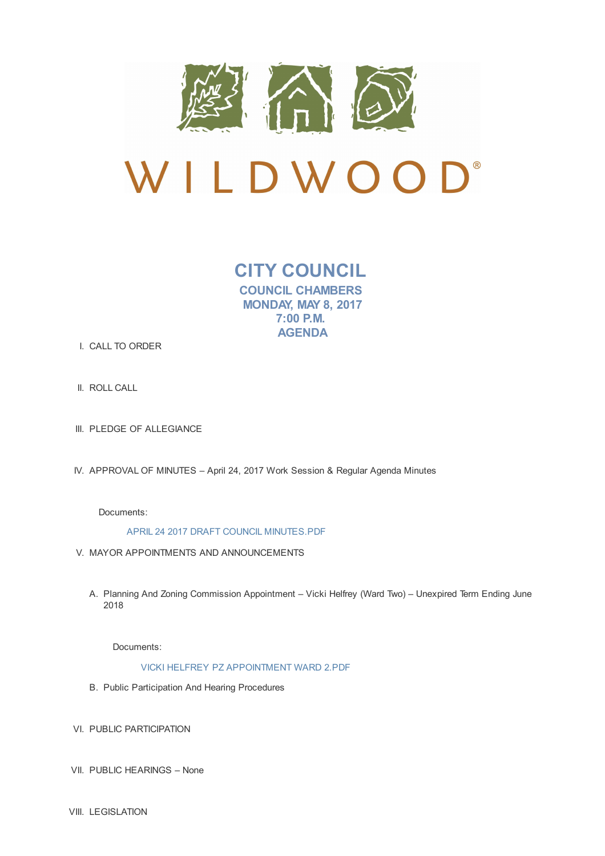

**CITY COUNCIL COUNCIL CHAMBERS MONDAY, MAY 8, 2017 7:00 P.M. AGENDA**

- I. CALL TO ORDER
- II. ROLL CALL
- III. PLEDGE OF ALLEGIANCE
- IV. APPROVAL OF MINUTES April 24, 2017 Work Session & Regular Agenda Minutes

Documents:

APRIL 24 2017 DRAFT COUNCIL MINUTES.PDF

- V. MAYOR APPOINTMENTS AND ANNOUNCEMENTS
	- A. Planning And Zoning Commission Appointment Vicki Helfrey (Ward Two) Unexpired Term Ending June 2018

Documents:

VICKI HELFREY PZ APPOINTMENT WARD 2.PDF

- B. Public Participation And Hearing Procedures
- VI. PUBLIC PARTICIPATION
- VII. PUBLIC HEARINGS None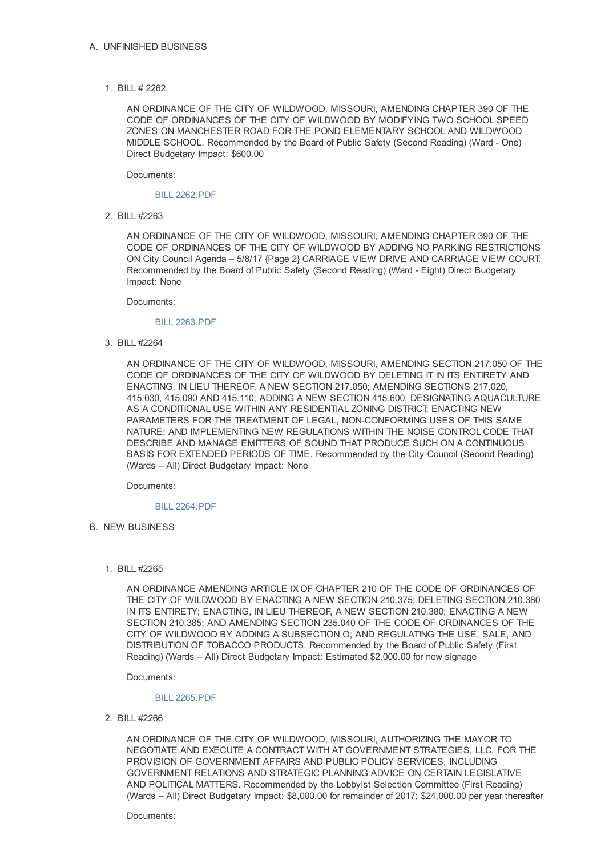1. BILL # 2262

AN ORDINANCE OF THE CITY OF WILDWOOD, MISSOURI, AMENDING CHAPTER 390 OF THE CODE OF ORDINANCES OF THE CITY OF WILDWOOD BY MODIFYING TWO SCHOOL SPEED ZONES ON MANCHESTER ROAD FOR THE POND ELEMENTARY SCHOOL AND WILDWOOD MIDDLE SCHOOL. Recommended by the Board of Public Safety (Second Reading) (Ward - One) Direct Budgetary Impact: \$600.00

Documents:

## BILL 2262.PDF

2. BILL #2263

AN ORDINANCE OF THE CITY OF WILDWOOD, MISSOURI, AMENDING CHAPTER 390 OF THE CODE OF ORDINANCES OF THE CITY OF WILDWOOD BY ADDING NO PARKING RESTRICTIONS ON City Council Agenda – 5/8/17 {Page 2} CARRIAGE VIEW DRIVE AND CARRIAGE VIEW COURT. Recommended by the Board of Public Safety (Second Reading) (Ward - Eight) Direct Budgetary Impact: None

Documents:

## BILL 2263.PDF

3. BILL #2264

AN ORDINANCE OF THE CITY OF WILDWOOD, MISSOURI, AMENDING SECTION 217.050 OF THE CODE OF ORDINANCES OF THE CITY OF WILDWOOD BY DELETING IT IN ITS ENTIRETY AND ENACTING, IN LIEU THEREOF, A NEW SECTION 217.050; AMENDING SECTIONS 217.020, 415.030, 415.090 AND 415.110; ADDING A NEW SECTION 415.600; DESIGNATING AQUACULTURE AS A CONDITIONAL USE WITHIN ANY RESIDENTIAL ZONING DISTRICT; ENACTING NEW PARAMETERS FOR THE TREATMENT OF LEGAL, NON-CONFORMING USES OF THIS SAME NATURE; AND IMPLEMENTING NEW REGULATIONS WITHIN THE NOISE CONTROL CODE THAT DESCRIBE AND MANAGE EMITTERS OF SOUND THAT PRODUCE SUCH ON A CONTINUOUS BASIS FOR EXTENDED PERIODS OF TIME. Recommended by the City Council (Second Reading) (Wards – All) Direct Budgetary Impact: None

Documents:

## BILL 2264.PDF

B. NEW BUSINESS

# 1. BILL #2265

AN ORDINANCE AMENDING ARTICLE IX OF CHAPTER 210 OF THE CODE OF ORDINANCES OF THE CITY OF WILDWOOD BY ENACTING A NEW SECTION 210.375; DELETING SECTION 210.380 IN ITS ENTIRETY; ENACTING, IN LIEU THEREOF, A NEW SECTION 210.380; ENACTING A NEW SECTION 210.385; AND AMENDING SECTION 235.040 OF THE CODE OF ORDINANCES OF THE CITY OF WILDWOOD BY ADDING A SUBSECTION O; AND REGULATING THE USE, SALE, AND DISTRIBUTION OF TOBACCO PRODUCTS. Recommended by the Board of Public Safety (First Reading) (Wards – All) Direct Budgetary Impact: Estimated \$2,000.00 for new signage

Documents:

#### BILL 2265.PDF

2. BILL #2266

AN ORDINANCE OF THE CITY OF WILDWOOD, MISSOURI, AUTHORIZING THE MAYOR TO NEGOTIATE AND EXECUTE A CONTRACT WITH AT GOVERNMENT STRATEGIES, LLC, FOR THE PROVISION OF GOVERNMENT AFFAIRS AND PUBLIC POLICY SERVICES, INCLUDING GOVERNMENT RELATIONS AND STRATEGIC PLANNING ADVICE ON CERTAIN LEGISLATIVE AND POLITICAL MATTERS. Recommended by the Lobbyist Selection Committee (First Reading) (Wards – All) Direct Budgetary Impact: \$8,000.00 for remainder of 2017; \$24,000.00 per year thereafter

Documents: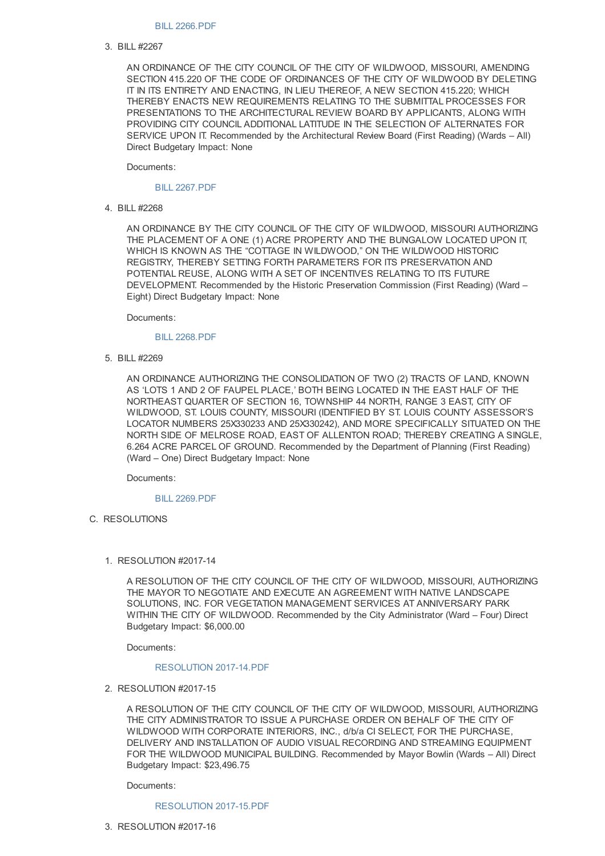## BILL 2266.PDF

### 3. BILL #2267

AN ORDINANCE OF THE CITY COUNCIL OF THE CITY OF WILDWOOD, MISSOURI, AMENDING SECTION 415.220 OF THE CODE OF ORDINANCES OF THE CITY OF WILDWOOD BY DELETING IT IN ITS ENTIRETY AND ENACTING, IN LIEU THEREOF, A NEW SECTION 415.220; WHICH THEREBY ENACTS NEW REQUIREMENTS RELATING TO THE SUBMITTAL PROCESSES FOR PRESENTATIONS TO THE ARCHITECTURAL REVIEW BOARD BY APPLICANTS, ALONG WITH PROVIDING CITY COUNCIL ADDITIONAL LATITUDE IN THE SELECTION OF ALTERNATES FOR SERVICE UPON IT. Recommended by the Architectural Review Board (First Reading) (Wards – All) Direct Budgetary Impact: None

Documents:

#### BILL 2267.PDF

4. BILL #2268

AN ORDINANCE BY THE CITY COUNCIL OF THE CITY OF WILDWOOD, MISSOURI AUTHORIZING THE PLACEMENT OF A ONE (1) ACRE PROPERTY AND THE BUNGALOW LOCATED UPON IT, WHICH IS KNOWN AS THE "COTTAGE IN WILDWOOD," ON THE WILDWOOD HISTORIC REGISTRY, THEREBY SETTING FORTH PARAMETERS FOR ITS PRESERVATION AND POTENTIAL REUSE, ALONG WITH A SET OF INCENTIVES RELATING TO ITS FUTURE DEVELOPMENT. Recommended by the Historic Preservation Commission (First Reading) (Ward – Eight) Direct Budgetary Impact: None

Documents:

## BILL 2268.PDF

5. BILL #2269

AN ORDINANCE AUTHORIZING THE CONSOLIDATION OF TWO (2) TRACTS OF LAND, KNOWN AS 'LOTS 1 AND 2 OF FAUPEL PLACE,' BOTH BEING LOCATED IN THE EAST HALF OF THE NORTHEAST QUARTER OF SECTION 16, TOWNSHIP 44 NORTH, RANGE 3 EAST, CITY OF WILDWOOD, ST. LOUIS COUNTY, MISSOURI (IDENTIFIED BY ST. LOUIS COUNTY ASSESSOR'S LOCATOR NUMBERS 25X330233 AND 25X330242), AND MORE SPECIFICALLY SITUATED ON THE NORTH SIDE OF MELROSE ROAD, EAST OF ALLENTON ROAD; THEREBY CREATING A SINGLE, 6.264 ACRE PARCEL OF GROUND. Recommended by the Department of Planning (First Reading) (Ward – One) Direct Budgetary Impact: None

Documents:

#### BILL 2269.PDF

C. RESOLUTIONS

#### 1. RESOLUTION #2017-14

A RESOLUTION OF THE CITY COUNCIL OF THE CITY OF WILDWOOD, MISSOURI, AUTHORIZING THE MAYOR TO NEGOTIATE AND EXECUTE AN AGREEMENT WITH NATIVE LANDSCAPE SOLUTIONS, INC. FOR VEGETATION MANAGEMENT SERVICES AT ANNIVERSARY PARK WITHIN THE CITY OF WILDWOOD. Recommended by the City Administrator (Ward – Four) Direct Budgetary Impact: \$6,000.00

Documents:

### RESOLUTION 2017-14.PDF

2. RESOLUTION #2017-15

A RESOLUTION OF THE CITY COUNCIL OF THE CITY OF WILDWOOD, MISSOURI, AUTHORIZING THE CITY ADMINISTRATOR TO ISSUE A PURCHASE ORDER ON BEHALF OF THE CITY OF WILDWOOD WITH CORPORATE INTERIORS, INC., d/b/a CI SELECT, FOR THE PURCHASE, DELIVERY AND INSTALLATION OF AUDIO VISUAL RECORDING AND STREAMING EQUIPMENT FOR THE WILDWOOD MUNICIPAL BUILDING. Recommended by Mayor Bowlin (Wards – All) Direct Budgetary Impact: \$23,496.75

Documents:

## RESOLUTION 2017-15.PDF

3. RESOLUTION #2017-16